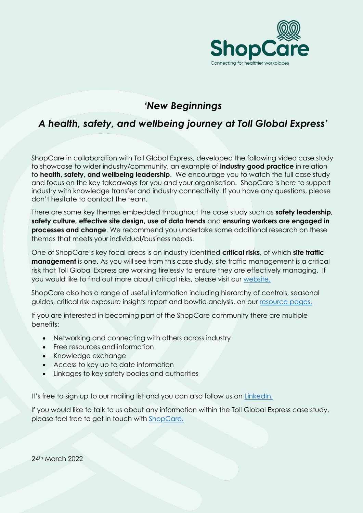

# *'New Beginnings*

## *A health, safety, and wellbeing journey at Toll Global Express'*

ShopCare in collaboration with Toll Global Express, developed the following video case study to showcase to wider industry/community, an example of **industry good practice** in relation to **health, safety, and wellbeing leadership**. We encourage you to watch the full case study and focus on the key takeaways for you and your organisation. ShopCare is here to support industry with knowledge transfer and industry connectivity. If you have any questions, please don't hesitate to contact the team.

There are some key themes embedded throughout the case study such as **safety leadership, safety culture, effective site design, use of data trends** and **ensuring workers are engaged in processes and change**. We recommend you undertake some additional research on these themes that meets your individual/business needs.

One of ShopCare's key focal areas is on industry identified **critical risks**, of which **site traffic management** is one. As you will see from this case study, site traffic management is a critical risk that Toll Global Express are working tirelessly to ensure they are effectively managing. If you would like to find out more about critical risks, please visit our [website.](https://www.shopcare.org.nz/criticalrisksmanagement)

ShopCare also has a range of useful information including hierarchy of controls, seasonal guides, critical risk exposure insights report and bowtie analysis, on our [resource pages.](resource%20pages.)

If you are interested in becoming part of the ShopCare community there are multiple benefits:

- Networking and connecting with others across industry
- Free resources and information
- Knowledge exchange
- Access to key up to date information
- Linkages to key safety bodies and authorities

It's free to sign up to our mailing list and you can also follow us on [LinkedIn.](https://www.linkedin.com/company/shopcare/)

If you would like to talk to us about any information within the Toll Global Express case study, please feel free to get in touch with [ShopCare.](https://www.shopcare.org.nz/contact)

24th March 2022